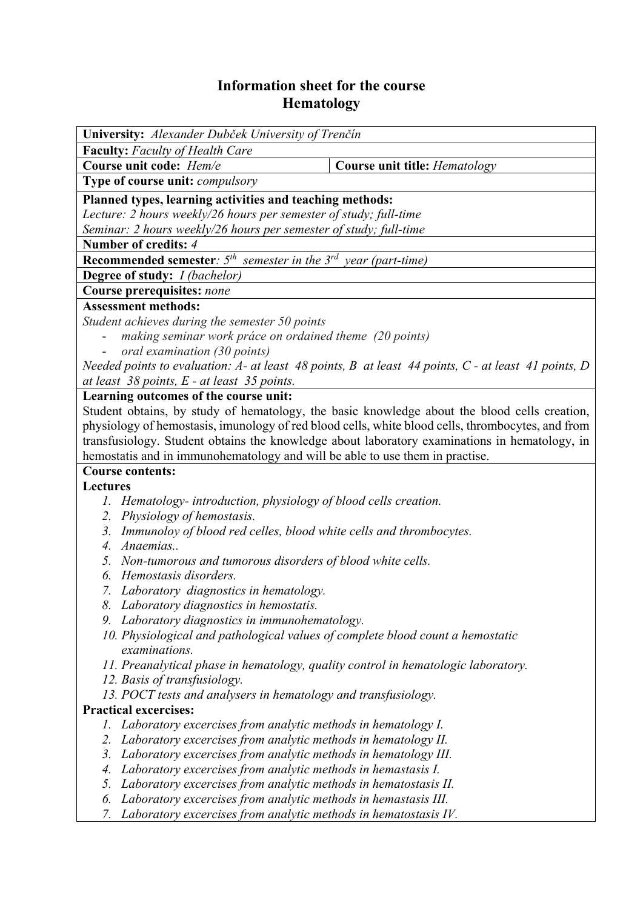## **Information sheet for the course Hematology**

| <b>University:</b> Alexander Dubček University of Trenčín                                               |                                      |
|---------------------------------------------------------------------------------------------------------|--------------------------------------|
| <b>Faculty:</b> Faculty of Health Care                                                                  |                                      |
| Course unit code: Hem/e                                                                                 | <b>Course unit title: Hematology</b> |
| Type of course unit: compulsory                                                                         |                                      |
| Planned types, learning activities and teaching methods:                                                |                                      |
| Lecture: 2 hours weekly/26 hours per semester of study; full-time                                       |                                      |
| Seminar: 2 hours weekly/26 hours per semester of study; full-time                                       |                                      |
| Number of credits: 4                                                                                    |                                      |
| <b>Recommended semester</b> : $5th$ semester in the $3rd$ year (part-time)                              |                                      |
| Degree of study: I (bachelor)                                                                           |                                      |
| Course prerequisites: none                                                                              |                                      |
| <b>Assessment methods:</b>                                                                              |                                      |
| Student achieves during the semester 50 points                                                          |                                      |
| making seminar work práce on ordained theme (20 points)                                                 |                                      |
| oral examination (30 points)<br>$\overline{\phantom{a}}$                                                |                                      |
| Needed points to evaluation: A- at least 48 points, B at least 44 points, $C$ - at least 41 points, D   |                                      |
| at least $38$ points, E - at least $35$ points.                                                         |                                      |
| Learning outcomes of the course unit:                                                                   |                                      |
| Student obtains, by study of hematology, the basic knowledge about the blood cells creation,            |                                      |
| physiology of hemostasis, imunology of red blood cells, white blood cells, thrombocytes, and from       |                                      |
| transfusiology. Student obtains the knowledge about laboratory examinations in hematology, in           |                                      |
| hemostatis and in immunohematology and will be able to use them in practise.                            |                                      |
| <b>Course contents:</b>                                                                                 |                                      |
| <b>Lectures</b>                                                                                         |                                      |
| 1. Hematology-introduction, physiology of blood cells creation.                                         |                                      |
| 2.<br>Physiology of hemostasis.<br>3.                                                                   |                                      |
| Immunoloy of blood red celles, blood white cells and thrombocytes.<br>Anaemias<br>$\mathcal{A}_{\cdot}$ |                                      |
| 5.<br>Non-tumorous and tumorous disorders of blood white cells.                                         |                                      |
| Hemostasis disorders.<br>6.                                                                             |                                      |
| Laboratory diagnostics in hematology.<br>7.                                                             |                                      |
| 8. Laboratory diagnostics in hemostatis.                                                                |                                      |
| 9. Laboratory diagnostics in immunohematology.                                                          |                                      |
| 10. Physiological and pathological values of complete blood count a hemostatic                          |                                      |
| examinations.                                                                                           |                                      |
| 11. Preanalytical phase in hematology, quality control in hematologic laboratory.                       |                                      |
| 12. Basis of transfusiology.                                                                            |                                      |
| 13. POCT tests and analysers in hematology and transfusiology.                                          |                                      |
| <b>Practical excercises:</b>                                                                            |                                      |
| Laboratory excercises from analytic methods in hematology I.<br>Ι.                                      |                                      |
| Laboratory excercises from analytic methods in hematology II.<br>2.                                     |                                      |
| Laboratory excercises from analytic methods in hematology III.<br>3.                                    |                                      |
| Laboratory excercises from analytic methods in hemastasis I.<br>4.                                      |                                      |
| 5.<br>Laboratory excercises from analytic methods in hematostasis II.                                   |                                      |
| Laboratory excercises from analytic methods in hemastasis III.<br>6.                                    |                                      |
| Laboratory excercises from analytic methods in hematostasis IV.<br>7.                                   |                                      |
|                                                                                                         |                                      |